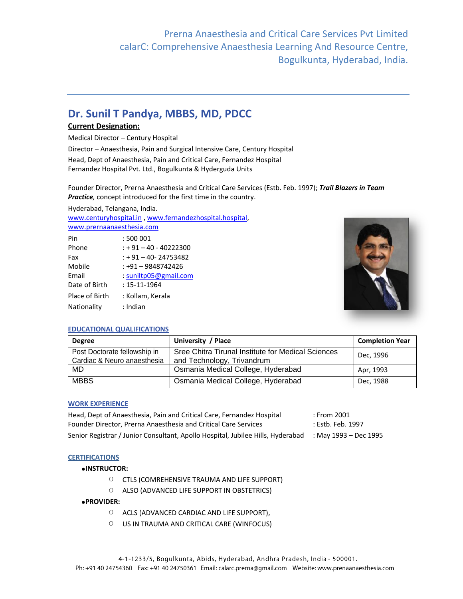# **Dr. Sunil T Pandya, MBBS, MD, PDCC**

## **Current Designation:**

Medical Director – Century Hospital

Director – Anaesthesia, Pain and Surgical Intensive Care, Century Hospital Head, Dept of Anaesthesia, Pain and Critical Care, Fernandez Hospital Fernandez Hospital Pvt. Ltd., Bogulkunta & Hyderguda Units

Founder Director, Prerna Anaesthesia and Critical Care Services (Estb. Feb. 1997); *Trail Blazers in Team Practice,* concept introduced for the first time in the country.

Hyderabad, Telangana, India.

[www.centuryhospital.in](http://www.centuryhospitals.in/) [, www.fernandezhospital.hospital,](http://www.fernandezhospital.hospital/)

[www.prernaanaesthesia.com](http://www.prernaanaesthesia.com/)

| Pin            | :500001                 |
|----------------|-------------------------|
| Phone          | $: +91 - 40 - 40222300$ |
| Fax            | $: +91 - 40 - 24753482$ |
| Mobile         | $: +91 - 9848742426$    |
| Email          | : suniltp05@gmail.com   |
| Date of Birth  | : 15-11-1964            |
| Place of Birth | : Kollam, Kerala        |
| Nationality    | : Indian                |



## **EDUCATIONAL QUALIFICATIONS**

| <b>Degree</b>                                               | University / Place                                                               | <b>Completion Year</b> |
|-------------------------------------------------------------|----------------------------------------------------------------------------------|------------------------|
| Post Doctorate fellowship in<br>Cardiac & Neuro anaesthesia | Sree Chitra Tirunal Institute for Medical Sciences<br>and Technology, Trivandrum | Dec. 1996              |
| MD                                                          | Osmania Medical College, Hyderabad                                               | Apr, 1993              |
| <b>MBBS</b>                                                 | Osmania Medical College, Hyderabad                                               | Dec, 1988              |

#### **WORK EXPERIENCE**

| Head, Dept of Anaesthesia, Pain and Critical Care, Fernandez Hospital           | : From 2001           |
|---------------------------------------------------------------------------------|-----------------------|
| Founder Director, Prerna Anaesthesia and Critical Care Services                 | : Estb. Feb. 1997     |
| Senior Registrar / Junior Consultant, Apollo Hospital, Jubilee Hills, Hyderabad | May 1993 – Dec 1995 : |
|                                                                                 |                       |

### **CERTIFICATIONS**

#### **INSTRUCTOR:**

- O CTLS (COMREHENSIVE TRAUMA AND LIFE SUPPORT)
- O ALSO (ADVANCED LIFE SUPPORT IN OBSTETRICS)

#### **PROVIDER:**

- O ACLS (ADVANCED CARDIAC AND LIFE SUPPORT),
- O US IN TRAUMA AND CRITICAL CARE (WINFOCUS)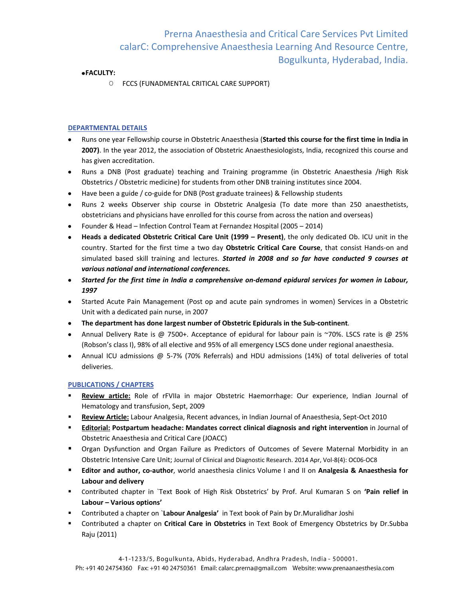### **FACULTY:**

O FCCS (FUNADMENTAL CRITICAL CARE SUPPORT)

## **DEPARTMENTAL DETAILS**

- Runs one year Fellowship course in Obstetric Anaesthesia (**Started this course for the first time in India in 2007)**. In the year 2012, the association of Obstetric Anaesthesiologists, India, recognized this course and has given accreditation.
- Runs a DNB (Post graduate) teaching and Training programme (in Obstetric Anaesthesia /High Risk Obstetrics / Obstetric medicine) for students from other DNB training institutes since 2004.
- Have been a guide / co-guide for DNB (Post graduate trainees) & Fellowship students
- Runs 2 weeks Observer ship course in Obstetric Analgesia (To date more than 250 anaesthetists,  $\bullet$ obstetricians and physicians have enrolled for this course from across the nation and overseas)
- Founder & Head Infection Control Team at Fernandez Hospital (2005 2014)
- **Heads a dedicated Obstetric Critical Care Unit (1999 – Present)**, the only dedicated Ob. ICU unit in the  $\bullet$ country. Started for the first time a two day **Obstetric Critical Care Course**, that consist Hands-on and simulated based skill training and lectures. *Started in 2008 and so far have conducted 9 courses at various national and international conferences.*
- *Started for the first time in India a comprehensive on-demand epidural services for women in Labour, 1997*
- Started Acute Pain Management (Post op and acute pain syndromes in women) Services in a Obstetric Unit with a dedicated pain nurse, in 2007
- **The department has done largest number of Obstetric Epidurals in the Sub-continent**.
- Annual Delivery Rate is @ 7500+. Acceptance of epidural for labour pain is ~70%. LSCS rate is @ 25% (Robson's class I), 98% of all elective and 95% of all emergency LSCS done under regional anaesthesia.
- Annual ICU admissions @ 5-7% (70% Referrals) and HDU admissions (14%) of total deliveries of total deliveries.

#### **PUBLICATIONS / CHAPTERS**

- **Review article:** Role of rFVIIa in major Obstetric Haemorrhage: Our experience, Indian Journal of Hematology and transfusion, Sept, 2009
- **Review Article:** Labour Analgesia, Recent advances, in Indian Journal of Anaesthesia, Sept-Oct 2010
- **Editorial: Postpartum headache: Mandates correct clinical diagnosis and right intervention** in Journal of Obstetric Anaesthesia and Critical Care (JOACC)
- Organ Dysfunction and Organ Failure as Predictors of Outcomes of Severe Maternal Morbidity in an Obstetric Intensive Care Unit; Journal of Clinical and Diagnostic Research. 2014 Apr, Vol-8(4): OC06-OC8
- **Editor and author, co-author**, world anaesthesia clinics Volume I and II on **Analgesia & Anaesthesia for Labour and delivery**
- Contributed chapter in `Text Book of High Risk Obstetrics' by Prof. Arul Kumaran S on **'Pain relief in Labour – Various options'**
- Contributed a chapter on `**Labour Analgesia'** in Text book of Pain by Dr.Muralidhar Joshi
- Contributed a chapter on **Critical Care in Obstetrics** in Text Book of Emergency Obstetrics by Dr.Subba Raju (2011)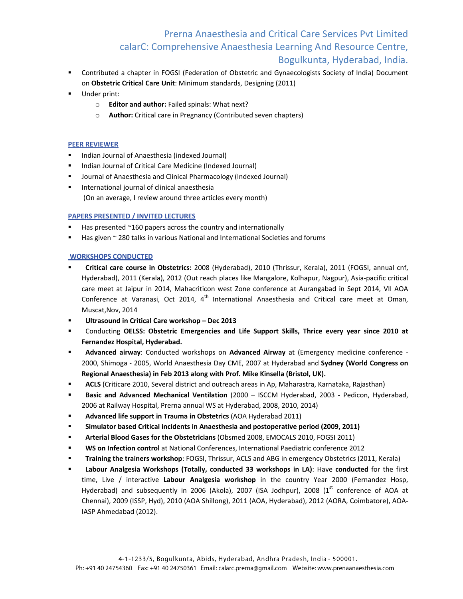- Contributed a chapter in FOGSI (Federation of Obstetric and Gynaecologists Society of India) Document on **Obstetric Critical Care Unit**: Minimum standards, Designing (2011)
- Under print:
	- o **Editor and author:** Failed spinals: What next?
	- o **Author:** Critical care in Pregnancy (Contributed seven chapters)

## **PEER REVIEWER**

- Indian Journal of Anaesthesia (indexed Journal)
- Indian Journal of Critical Care Medicine (Indexed Journal)
- Journal of Anaesthesia and Clinical Pharmacology (Indexed Journal)
- **International journal of clinical anaesthesia** (On an average, I review around three articles every month)

## **PAPERS PRESENTED / INVITED LECTURES**

- Has presented ~160 papers across the country and internationally
- Has given ~ 280 talks in various National and International Societies and forums

## **WORKSHOPS CONDUCTED**

- **Critical care course in Obstetrics:** 2008 (Hyderabad), 2010 (Thrissur, Kerala), 2011 (FOGSI, annual cnf, Hyderabad), 2011 (Kerala), 2012 (Out reach places like Mangalore, Kolhapur, Nagpur), Asia-pacific critical care meet at Jaipur in 2014, Mahacriticon west Zone conference at Aurangabad in Sept 2014, VII AOA Conference at Varanasi, Oct 2014,  $4<sup>th</sup>$  International Anaesthesia and Critical care meet at Oman, Muscat,Nov, 2014
- **Ultrasound in Critical Care workshop – Dec 2013**
- Conducting **OELSS: Obstetric Emergencies and Life Support Skills, Thrice every year since 2010 at Fernandez Hospital, Hyderabad.**
- **Advanced airway**: Conducted workshops on **Advanced Airway** at (Emergency medicine conference 2000, Shimoga - 2005, World Anaesthesia Day CME, 2007 at Hyderabad and **Sydney (World Congress on Regional Anaesthesia) in Feb 2013 along with Prof. Mike Kinsella (Bristol, UK).**
- **ACLS** (Criticare 2010, Several district and outreach areas in Ap, Maharastra, Karnataka, Rajasthan)
- **Basic and Advanced Mechanical Ventilation** (2000 ISCCM Hyderabad, 2003 Pedicon, Hyderabad, 2006 at Railway Hospital, Prerna annual WS at Hyderabad, 2008, 2010, 2014)
- **Advanced life support in Trauma in Obstetrics** (AOA Hyderabad 2011)
- **Simulator based Critical incidents in Anaesthesia and postoperative period (2009, 2011)**
- **Arterial Blood Gases for the Obstetricians** (Obsmed 2008, EMOCALS 2010, FOGSI 2011)
- **WS on Infection control** at National Conferences, International Paediatric conference 2012
- **Training the trainers workshop**: FOGSI, Thrissur, ACLS and ABG in emergency Obstetrics (2011, Kerala)
- **Labour Analgesia Workshops (Totally, conducted 33 workshops in LA)**: Have **conducted** for the first time, Live / interactive **Labour Analgesia workshop** in the country Year 2000 (Fernandez Hosp, Hyderabad) and subsequently in 2006 (Akola), 2007 (ISA Jodhpur), 2008  $(1<sup>st</sup>$  conference of AOA at Chennai), 2009 (ISSP, Hyd), 2010 (AOA Shillong), 2011 (AOA, Hyderabad), 2012 (AORA, Coimbatore), AOA-IASP Ahmedabad (2012).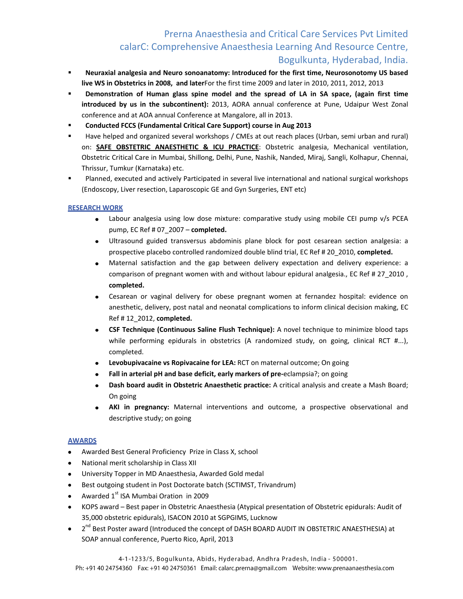- **Neuraxial analgesia and Neuro sonoanatomy: Introduced for the first time, Neurosonotomy US based live WS in Obstetrics in 2008, and later**For the first time 2009 and later in 2010, 2011, 2012, 2013
- **Phemonstration of Human glass spine model and the spread of LA in SA space, (again first time introduced by us in the subcontinent):** 2013, AORA annual conference at Pune, Udaipur West Zonal conference and at AOA annual Conference at Mangalore, all in 2013.
- **Conducted FCCS (Fundamental Critical Care Support) course in Aug 2013**
- Have helped and organized several workshops / CMEs at out reach places (Urban, semi urban and rural) on: **SAFE OBSTETRIC ANAESTHETIC & ICU PRACTICE**: Obstetric analgesia, Mechanical ventilation, Obstetric Critical Care in Mumbai, Shillong, Delhi, Pune, Nashik, Nanded, Miraj, Sangli, Kolhapur, Chennai, Thrissur, Tumkur (Karnataka) etc.
- Planned, executed and actively Participated in several live international and national surgical workshops (Endoscopy, Liver resection, Laparoscopic GE and Gyn Surgeries, ENT etc)

## **RESEARCH WORK**

- Labour analgesia using low dose mixture: comparative study using mobile CEI pump v/s PCEA pump, EC Ref # 07\_2007 – **completed.**
- Ultrasound guided transversus abdominis plane block for post cesarean section analgesia: a prospective placebo controlled randomized double blind trial, EC Ref # 20\_2010, **completed.**
- $\bullet$ Maternal satisfaction and the gap between delivery expectation and delivery experience: a comparison of pregnant women with and without labour epidural analgesia., EC Ref # 27\_2010 , **completed.**
- Cesarean or vaginal delivery for obese pregnant women at fernandez hospital: evidence on  $\bullet$ anesthetic, delivery, post natal and neonatal complications to inform clinical decision making, EC Ref # 12\_2012, **completed.**
- **CSF Technique (Continuous Saline Flush Technique):** A novel technique to minimize blood taps  $\bullet$ while performing epidurals in obstetrics (A randomized study, on going, clinical RCT #...), completed.
- $\bullet$ **Levobupivacaine vs Ropivacaine for LEA:** RCT on maternal outcome; On going
- **Fall in arterial pH and base deficit, early markers of pre-**eclampsia?; on going
- **Dash board audit in Obstetric Anaesthetic practice:** A critical analysis and create a Mash Board; On going
- **AKI in pregnancy:** Maternal interventions and outcome, a prospective observational and  $\bullet$ descriptive study; on going

#### **AWARDS**

- Awarded Best General Proficiency Prize in Class X, school
- National merit scholarship in Class XII
- University Topper in MD Anaesthesia, Awarded Gold medal
- $\bullet$ Best outgoing student in Post Doctorate batch (SCTIMST, Trivandrum)
- Awarded 1<sup>st</sup> ISA Mumbai Oration in 2009
- KOPS award Best paper in Obstetric Anaesthesia (Atypical presentation of Obstetric epidurals: Audit of  $\bullet$ 35,000 obstetric epidurals), ISACON 2010 at SGPGIMS, Lucknow
- 2<sup>nd</sup> Best Poster award (Introduced the concept of DASH BOARD AUDIT IN OBSTETRIC ANAESTHESIA) at  $\bullet$ SOAP annual conference, Puerto Rico, April, 2013

4-1-1233/5, Bogulkunta, Abids, Hyderabad, Andhra Pradesh, India - 500001.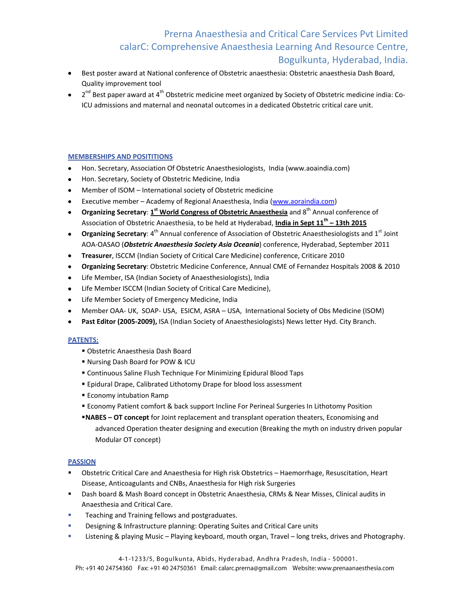- Best poster award at National conference of Obstetric anaesthesia: Obstetric anaesthesia Dash Board, Quality improvement tool
- 2<sup>nd</sup> Best paper award at 4<sup>th</sup> Obstetric medicine meet organized by Society of Obstetric medicine india: Co-ICU admissions and maternal and neonatal outcomes in a dedicated Obstetric critical care unit.

## **MEMBERSHIPS AND POSITITIONS**

- Hon. Secretary, Association Of Obstetric Anaesthesiologists, India (www.aoaindia.com)
- Hon. Secretary, Society of Obstetric Medicine, India
- Member of ISOM International society of Obstetric medicine
- Executive member Academy of Regional Anaesthesia, India [\(www.aoraindia.com\)](http://www.aoraindia.com/)  $\bullet$
- **Organizing Secretary**: **1 st World Congress of Obstetric Anaesthesia** and 8th Annual conference of Association of Obstetric Anaesthesia, to be held at Hyderabad, **India in Sept 11th – 13th 2015**
- **Organizing Secretary**: 4<sup>th</sup> Annual conference of Association of Obstetric Anaesthesiologists and 1<sup>st</sup> Joint AOA-OASAO (*Obstetric Anaesthesia Society Asia Oceania*) conference, Hyderabad, September 2011
- **Treasurer**, ISCCM (Indian Society of Critical Care Medicine) conference, Criticare 2010
- **Organizing Secretary**: Obstetric Medicine Conference, Annual CME of Fernandez Hospitals 2008 & 2010
- Life Member, ISA (Indian Society of Anaesthesiologists), India
- Life Member ISCCM (Indian Society of Critical Care Medicine),
- Life Member Society of Emergency Medicine, India
- Member OAA- UK, SOAP- USA, ESICM, ASRA USA, International Society of Obs Medicine (ISOM)  $\bullet$
- **Past Editor (2005-2009),** ISA (Indian Society of Anaesthesiologists) News letter Hyd. City Branch.  $\bullet$

#### **PATENTS:**

- Obstetric Anaesthesia Dash Board
- Nursing Dash Board for POW & ICU
- Continuous Saline Flush Technique For Minimizing Epidural Blood Taps
- **Epidural Drape, Calibrated Lithotomy Drape for blood loss assessment**
- **Economy intubation Ramp**
- Economy Patient comfort & back support Incline For Perineal Surgeries In Lithotomy Position
- **NABES – OT concept** for Joint replacement and transplant operation theaters, Economising and advanced Operation theater designing and execution (Breaking the myth on industry driven popular Modular OT concept)

## **PASSION**

- Obstetric Critical Care and Anaesthesia for High risk Obstetrics Haemorrhage, Resuscitation, Heart Disease, Anticoagulants and CNBs, Anaesthesia for High risk Surgeries
- Dash board & Mash Board concept in Obstetric Anaesthesia, CRMs & Near Misses, Clinical audits in Anaesthesia and Critical Care.
- Teaching and Training fellows and postgraduates.
- Designing & Infrastructure planning: Operating Suites and Critical Care units
- Listening & playing Music Playing keyboard, mouth organ, Travel long treks, drives and Photography.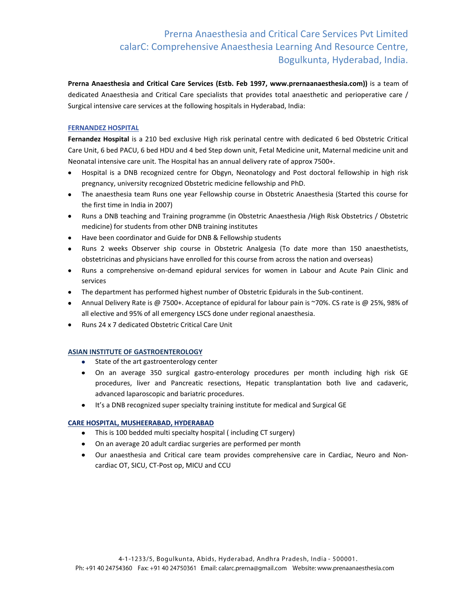**Prerna Anaesthesia and Critical Care Services (Estb. Feb 1997, www.prernaanaesthesia.com))** is a team of dedicated Anaesthesia and Critical Care specialists that provides total anaesthetic and perioperative care / Surgical intensive care services at the following hospitals in Hyderabad, India:

## **FERNANDEZ HOSPITAL**

**Fernandez Hospital** is a 210 bed exclusive High risk perinatal centre with dedicated 6 bed Obstetric Critical Care Unit, 6 bed PACU, 6 bed HDU and 4 bed Step down unit, Fetal Medicine unit, Maternal medicine unit and Neonatal intensive care unit. The Hospital has an annual delivery rate of approx 7500+.

- $\bullet$ Hospital is a DNB recognized centre for Obgyn, Neonatology and Post doctoral fellowship in high risk pregnancy, university recognized Obstetric medicine fellowship and PhD.
- The anaesthesia team Runs one year Fellowship course in Obstetric Anaesthesia (Started this course for the first time in India in 2007)
- Runs a DNB teaching and Training programme (in Obstetric Anaesthesia /High Risk Obstetrics / Obstetric medicine) for students from other DNB training institutes
- Have been coordinator and Guide for DNB & Fellowship students
- Runs 2 weeks Observer ship course in Obstetric Analgesia (To date more than 150 anaesthetists, obstetricinas and physicians have enrolled for this course from across the nation and overseas)
- Runs a comprehensive on-demand epidural services for women in Labour and Acute Pain Clinic and services
- The department has performed highest number of Obstetric Epidurals in the Sub-continent.
- Annual Delivery Rate is @ 7500+. Acceptance of epidural for labour pain is ~70%. CS rate is @ 25%, 98% of all elective and 95% of all emergency LSCS done under regional anaesthesia.
- Runs 24 x 7 dedicated Obstetric Critical Care Unit  $\bullet$

#### **ASIAN INSTITUTE OF GASTROENTEROLOGY**

- State of the art gastroenterology center
- On an average 350 surgical gastro-enterology procedures per month including high risk GE procedures, liver and Pancreatic resections, Hepatic transplantation both live and cadaveric, advanced laparoscopic and bariatric procedures.
- It's a DNB recognized super specialty training institute for medical and Surgical GE

#### **CARE HOSPITAL, MUSHEERABAD, HYDERABAD**

- This is 100 bedded multi specialty hospital (including CT surgery)
- On an average 20 adult cardiac surgeries are performed per month
- Our anaesthesia and Critical care team provides comprehensive care in Cardiac, Neuro and Noncardiac OT, SICU, CT-Post op, MICU and CCU